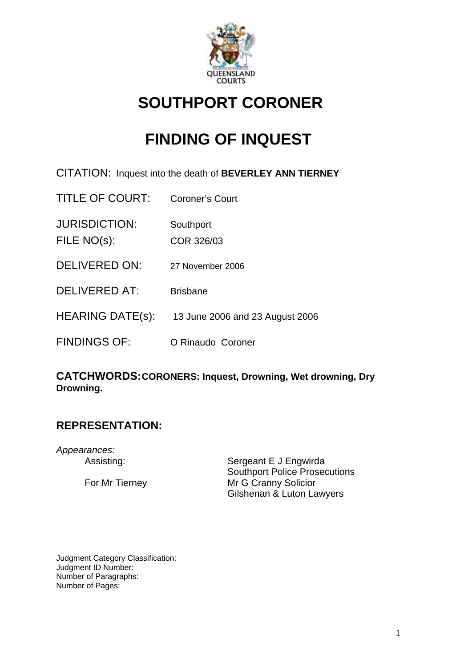

# **SOUTHPORT CORONER**

# **FINDING OF INQUEST**

- CITATION: Inquest into the death of **BEVERLEY ANN TIERNEY**
- TITLE OF COURT: Coroner's Court JURISDICTION: Southport FILE NO(s): COR 326/03 DELIVERED ON: 27 November 2006 DELIVERED AT: Brisbane HEARING DATE(s): 13 June 2006 and 23 August 2006 FINDINGS OF: O Rinaudo Coroner

# **CATCHWORDS:CORONERS: Inquest, Drowning, Wet drowning, Dry Drowning.**

# **REPRESENTATION:**

*Appearances:* 

Assisting: Sergeant E J Engwirda Southport Police Prosecutions For Mr Tierney Mr G Cranny Solicior Gilshenan & Luton Lawyers

Judgment Category Classification: Judgment ID Number: Number of Paragraphs: Number of Pages: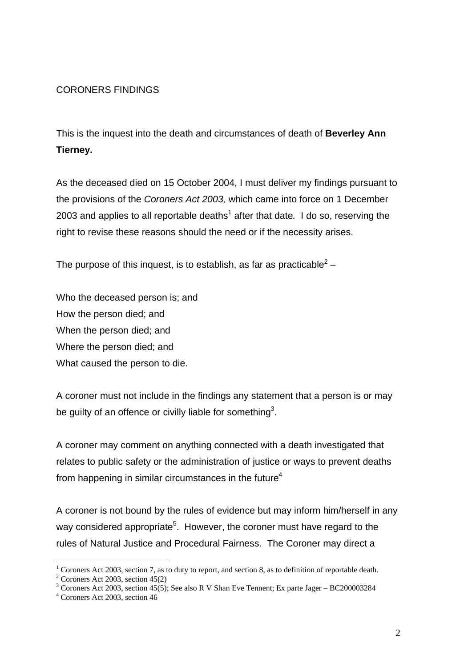#### CORONERS FINDINGS

This is the inquest into the death and circumstances of death of **Beverley Ann Tierney.** 

As the deceased died on 15 October 2004, I must deliver my findings pursuant to the provisions of the *Coroners Act 2003,* which came into force on 1 December 2003 and applies to all reportable deaths<sup>1</sup> after that date. I do so, reserving the right to revise these reasons should the need or if the necessity arises.

The purpose of this inquest, is to establish, as far as practicable<sup>2</sup> –

Who the deceased person is; and How the person died; and When the person died; and Where the person died; and What caused the person to die.

A coroner must not include in the findings any statement that a person is or may be guilty of an offence or civilly liable for something<sup>3</sup>.

A coroner may comment on anything connected with a death investigated that relates to public safety or the administration of justice or ways to prevent deaths from happening in similar circumstances in the future $4$ 

A coroner is not bound by the rules of evidence but may inform him/herself in any way considered appropriate<sup>5</sup>. However, the coroner must have regard to the rules of Natural Justice and Procedural Fairness. The Coroner may direct a

<sup>&</sup>lt;sup>1</sup> Coroners Act 2003, section 7, as to duty to report, and section 8, as to definition of reportable death.

 $2^2$  Coroners Act 2003, section 45(2)

<sup>&</sup>lt;sup>3</sup> Coroners Act 2003, section 45(5); See also R V Shan Eve Tennent; Ex parte Jager – BC200003284

<sup>4</sup> Coroners Act 2003, section 46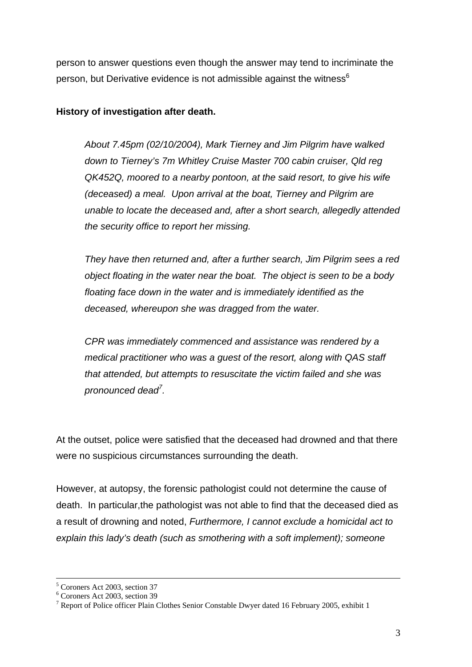person to answer questions even though the answer may tend to incriminate the person, but Derivative evidence is not admissible against the witness $6$ 

#### **History of investigation after death.**

*About 7.45pm (02/10/2004), Mark Tierney and Jim Pilgrim have walked down to Tierney's 7m Whitley Cruise Master 700 cabin cruiser, Qld reg QK452Q, moored to a nearby pontoon, at the said resort, to give his wife (deceased) a meal. Upon arrival at the boat, Tierney and Pilgrim are unable to locate the deceased and, after a short search, allegedly attended the security office to report her missing.* 

 *They have then returned and, after a further search, Jim Pilgrim sees a red object floating in the water near the boat. The object is seen to be a body floating face down in the water and is immediately identified as the deceased, whereupon she was dragged from the water.* 

 *CPR was immediately commenced and assistance was rendered by a medical practitioner who was a guest of the resort, along with QAS staff that attended, but attempts to resuscitate the victim failed and she was pronounced dead<sup>7</sup> .* 

At the outset, police were satisfied that the deceased had drowned and that there were no suspicious circumstances surrounding the death.

However, at autopsy, the forensic pathologist could not determine the cause of death. In particular,the pathologist was not able to find that the deceased died as a result of drowning and noted, *Furthermore, I cannot exclude a homicidal act to explain this lady's death (such as smothering with a soft implement); someone* 

 $\frac{1}{5}$  $<sup>5</sup>$  Coroners Act 2003, section 37</sup>

<sup>6</sup> Coroners Act 2003, section 39

<sup>&</sup>lt;sup>7</sup> Report of Police officer Plain Clothes Senior Constable Dwyer dated 16 February 2005, exhibit 1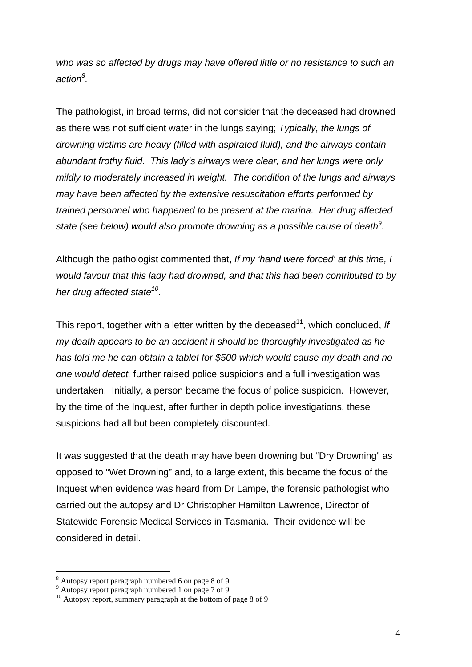*who was so affected by drugs may have offered little or no resistance to such an action<sup>8</sup> .* 

The pathologist, in broad terms, did not consider that the deceased had drowned as there was not sufficient water in the lungs saying; *Typically, the lungs of drowning victims are heavy (filled with aspirated fluid), and the airways contain abundant frothy fluid. This lady's airways were clear, and her lungs were only mildly to moderately increased in weight. The condition of the lungs and airways may have been affected by the extensive resuscitation efforts performed by trained personnel who happened to be present at the marina. Her drug affected state (see below) would also promote drowning as a possible cause of death<sup>9</sup> .* 

Although the pathologist commented that, *If my 'hand were forced' at this time, I would favour that this lady had drowned, and that this had been contributed to by her drug affected state10.* 

This report, together with a letter written by the deceased<sup>11</sup>, which concluded, If *my death appears to be an accident it should be thoroughly investigated as he has told me he can obtain a tablet for \$500 which would cause my death and no one would detect,* further raised police suspicions and a full investigation was undertaken. Initially, a person became the focus of police suspicion. However, by the time of the Inquest, after further in depth police investigations, these suspicions had all but been completely discounted.

It was suggested that the death may have been drowning but "Dry Drowning" as opposed to "Wet Drowning" and, to a large extent, this became the focus of the Inquest when evidence was heard from Dr Lampe, the forensic pathologist who carried out the autopsy and Dr Christopher Hamilton Lawrence, Director of Statewide Forensic Medical Services in Tasmania. Their evidence will be considered in detail.

<sup>&</sup>lt;sup>8</sup> Autopsy report paragraph numbered 6 on page 8 of 9

<sup>9</sup> Autopsy report paragraph numbered 1 on page 7 of 9

<sup>&</sup>lt;sup>10</sup> Autopsy report, summary paragraph at the bottom of page 8 of 9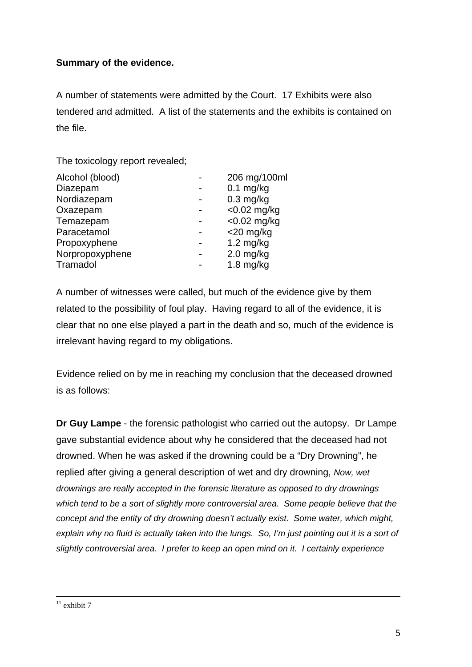# **Summary of the evidence.**

A number of statements were admitted by the Court. 17 Exhibits were also tendered and admitted. A list of the statements and the exhibits is contained on the file.

The toxicology report revealed;

| 206 mg/100ml        |
|---------------------|
| $0.1$ mg/kg         |
| $0.3$ mg/kg         |
| $<$ 0.02 mg/kg      |
| $<$ 0.02 mg/kg      |
| $<$ 20 mg/kg        |
| $1.2 \text{ mg/kg}$ |
| $2.0$ mg/kg         |
| $1.8$ mg/kg         |
|                     |

A number of witnesses were called, but much of the evidence give by them related to the possibility of foul play. Having regard to all of the evidence, it is clear that no one else played a part in the death and so, much of the evidence is irrelevant having regard to my obligations.

Evidence relied on by me in reaching my conclusion that the deceased drowned is as follows:

**Dr Guy Lampe** - the forensic pathologist who carried out the autopsy. Dr Lampe gave substantial evidence about why he considered that the deceased had not drowned. When he was asked if the drowning could be a "Dry Drowning", he replied after giving a general description of wet and dry drowning, *Now, wet drownings are really accepted in the forensic literature as opposed to dry drownings which tend to be a sort of slightly more controversial area. Some people believe that the concept and the entity of dry drowning doesn't actually exist. Some water, which might, explain why no fluid is actually taken into the lungs. So, I'm just pointing out it is a sort of slightly controversial area. I prefer to keep an open mind on it. I certainly experience* 

#### $11$  exhibit 7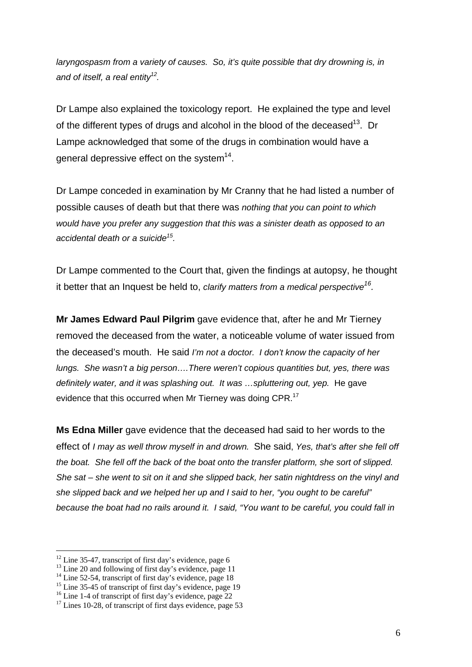*laryngospasm from a variety of causes. So, it's quite possible that dry drowning is, in and of itself, a real entity12.* 

Dr Lampe also explained the toxicology report. He explained the type and level of the different types of drugs and alcohol in the blood of the deceased<sup>13</sup>. Dr Lampe acknowledged that some of the drugs in combination would have a general depressive effect on the system<sup>14</sup>.

Dr Lampe conceded in examination by Mr Cranny that he had listed a number of possible causes of death but that there was *nothing that you can point to which would have you prefer any suggestion that this was a sinister death as opposed to an accidental death or a suicide15.* 

Dr Lampe commented to the Court that, given the findings at autopsy, he thought it better that an Inquest be held to, *clarify matters from a medical perspective16.* 

**Mr James Edward Paul Pilgrim** gave evidence that, after he and Mr Tierney removed the deceased from the water, a noticeable volume of water issued from the deceased's mouth. He said *I'm not a doctor. I don't know the capacity of her lungs. She wasn't a big person….There weren't copious quantities but, yes, there was definitely water, and it was splashing out. It was ...spluttering out, yep. He gave* evidence that this occurred when Mr Tierney was doing CPR.<sup>17</sup>

**Ms Edna Miller** gave evidence that the deceased had said to her words to the effect of *I may as well throw myself in and drown.* She said, *Yes, that's after she fell off the boat. She fell off the back of the boat onto the transfer platform, she sort of slipped. She sat – she went to sit on it and she slipped back, her satin nightdress on the vinyl and she slipped back and we helped her up and I said to her, "you ought to be careful" because the boat had no rails around it. I said, "You want to be careful, you could fall in* 

<sup>&</sup>lt;sup>12</sup> Line 35-47, transcript of first day's evidence, page 6

<sup>&</sup>lt;sup>13</sup> Line 20 and following of first day's evidence, page 11

<sup>&</sup>lt;sup>14</sup> Line 52-54, transcript of first day's evidence, page 18

<sup>&</sup>lt;sup>15</sup> Line 35-45 of transcript of first day's evidence, page 19

<sup>&</sup>lt;sup>16</sup> Line 1-4 of transcript of first day's evidence, page 22

 $17$  Lines 10-28, of transcript of first days evidence, page 53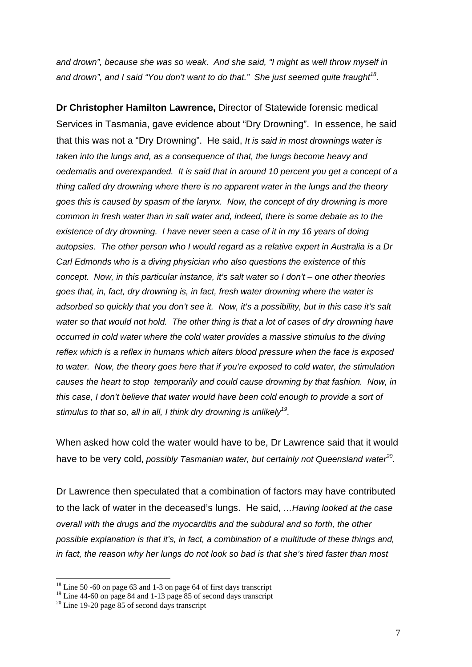*and drown", because she was so weak. And she said, "I might as well throw myself in and drown", and I said "You don't want to do that." She just seemed quite fraught18.* 

**Dr Christopher Hamilton Lawrence,** Director of Statewide forensic medical Services in Tasmania, gave evidence about "Dry Drowning". In essence, he said that this was not a "Dry Drowning". He said, *It is said in most drownings water is taken into the lungs and, as a consequence of that, the lungs become heavy and oedematis and overexpanded. It is said that in around 10 percent you get a concept of a thing called dry drowning where there is no apparent water in the lungs and the theory goes this is caused by spasm of the larynx. Now, the concept of dry drowning is more common in fresh water than in salt water and, indeed, there is some debate as to the existence of dry drowning. I have never seen a case of it in my 16 years of doing autopsies. The other person who I would regard as a relative expert in Australia is a Dr Carl Edmonds who is a diving physician who also questions the existence of this concept. Now, in this particular instance, it's salt water so I don't – one other theories goes that, in, fact, dry drowning is, in fact, fresh water drowning where the water is adsorbed so quickly that you don't see it. Now, it's a possibility, but in this case it's salt water so that would not hold. The other thing is that a lot of cases of dry drowning have occurred in cold water where the cold water provides a massive stimulus to the diving reflex which is a reflex in humans which alters blood pressure when the face is exposed to water. Now, the theory goes here that if you're exposed to cold water, the stimulation causes the heart to stop temporarily and could cause drowning by that fashion. Now, in this case, I don't believe that water would have been cold enough to provide a sort of*  stimulus to that so, all in all, I think dry drowning is unlikely<sup>19</sup>.

When asked how cold the water would have to be, Dr Lawrence said that it would have to be very cold, *possibly Tasmanian water, but certainly not Queensland water<sup>20</sup>.* 

Dr Lawrence then speculated that a combination of factors may have contributed to the lack of water in the deceased's lungs. He said, *…Having looked at the case overall with the drugs and the myocarditis and the subdural and so forth, the other possible explanation is that it's, in fact, a combination of a multitude of these things and, in fact, the reason why her lungs do not look so bad is that she's tired faster than most* 

 $18$  Line 50 -60 on page 63 and 1-3 on page 64 of first days transcript

<sup>&</sup>lt;sup>19</sup> Line 44-60 on page 84 and 1-13 page 85 of second days transcript

 $20$  Line 19-20 page 85 of second days transcript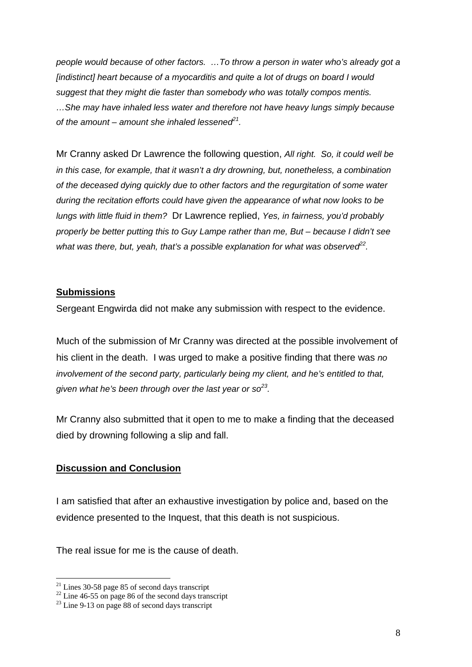*people would because of other factors. …To throw a person in water who's already got a [indistinct] heart because of a myocarditis and quite a lot of drugs on board I would suggest that they might die faster than somebody who was totally compos mentis. …She may have inhaled less water and therefore not have heavy lungs simply because of the amount – amount she inhaled lessened*<sup> $21$ </sup>.

Mr Cranny asked Dr Lawrence the following question, *All right. So, it could well be in this case, for example, that it wasn't a dry drowning, but, nonetheless, a combination of the deceased dying quickly due to other factors and the regurgitation of some water during the recitation efforts could have given the appearance of what now looks to be lungs with little fluid in them?* Dr Lawrence replied, *Yes, in fairness, you'd probably properly be better putting this to Guy Lampe rather than me, But – because I didn't see*  what was there, but, yeah, that's a possible explanation for what was observed<sup>22</sup>.

#### **Submissions**

Sergeant Engwirda did not make any submission with respect to the evidence.

Much of the submission of Mr Cranny was directed at the possible involvement of his client in the death. I was urged to make a positive finding that there was *no involvement of the second party, particularly being my client, and he's entitled to that, given what he's been through over the last year or so23.* 

Mr Cranny also submitted that it open to me to make a finding that the deceased died by drowning following a slip and fall.

## **Discussion and Conclusion**

I am satisfied that after an exhaustive investigation by police and, based on the evidence presented to the Inquest, that this death is not suspicious.

The real issue for me is the cause of death.

 $21$  Lines 30-58 page 85 of second days transcript

 $22$  Line 46-55 on page 86 of the second days transcript

 $23$  Line 9-13 on page 88 of second days transcript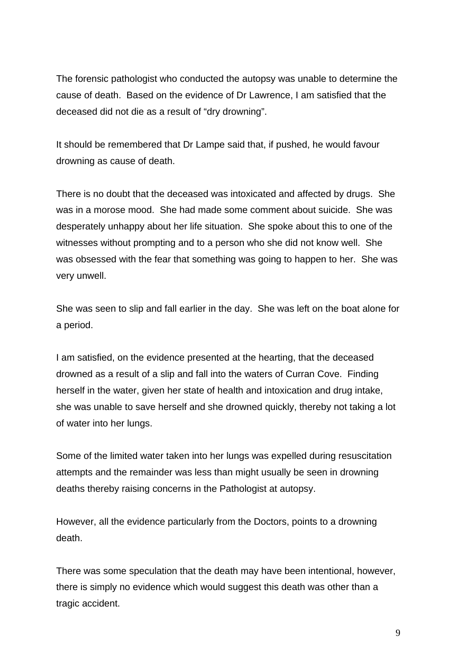The forensic pathologist who conducted the autopsy was unable to determine the cause of death. Based on the evidence of Dr Lawrence, I am satisfied that the deceased did not die as a result of "dry drowning".

It should be remembered that Dr Lampe said that, if pushed, he would favour drowning as cause of death.

There is no doubt that the deceased was intoxicated and affected by drugs. She was in a morose mood. She had made some comment about suicide. She was desperately unhappy about her life situation. She spoke about this to one of the witnesses without prompting and to a person who she did not know well. She was obsessed with the fear that something was going to happen to her. She was very unwell.

She was seen to slip and fall earlier in the day. She was left on the boat alone for a period.

I am satisfied, on the evidence presented at the hearting, that the deceased drowned as a result of a slip and fall into the waters of Curran Cove. Finding herself in the water, given her state of health and intoxication and drug intake, she was unable to save herself and she drowned quickly, thereby not taking a lot of water into her lungs.

Some of the limited water taken into her lungs was expelled during resuscitation attempts and the remainder was less than might usually be seen in drowning deaths thereby raising concerns in the Pathologist at autopsy.

However, all the evidence particularly from the Doctors, points to a drowning death.

There was some speculation that the death may have been intentional, however, there is simply no evidence which would suggest this death was other than a tragic accident.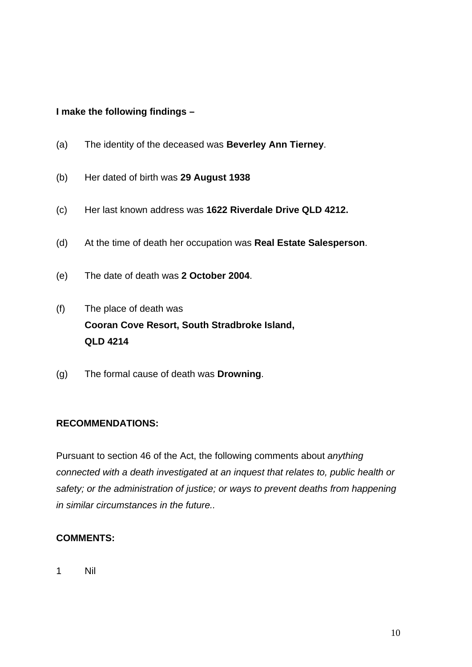#### **I make the following findings –**

- (a) The identity of the deceased was **Beverley Ann Tierney**.
- (b) Her dated of birth was **29 August 1938**
- (c) Her last known address was **1622 Riverdale Drive QLD 4212.**
- (d) At the time of death her occupation was **Real Estate Salesperson**.
- (e) The date of death was **2 October 2004**.
- (f) The place of death was **Cooran Cove Resort, South Stradbroke Island, QLD 4214**
- (g) The formal cause of death was **Drowning**.

## **RECOMMENDATIONS:**

Pursuant to section 46 of the Act, the following comments about *anything connected with a death investigated at an inquest that relates to, public health or safety; or the administration of justice; or ways to prevent deaths from happening in similar circumstances in the future..* 

## **COMMENTS:**

1 Nil